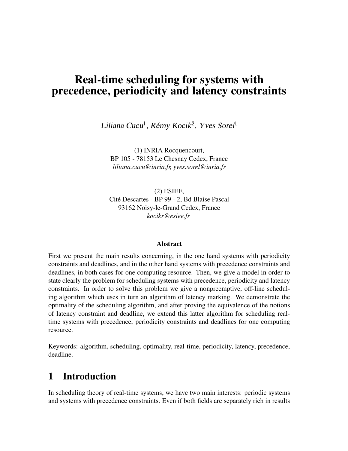# **Real-time scheduling for systems with precedence, periodicity and latency constraints**

Liliana Cucu<sup>1</sup>, Rémy Kocik<sup>2</sup>, Yves Sorel<sup>1</sup>

(1) INRIA Rocquencourt, BP 105 - 78153 Le Chesnay Cedex, France *liliana.cucu@inria.fr, yves.sorel@inria.fr*

(2) ESIEE, Cite´ Descartes - BP 99 - 2, Bd Blaise Pascal 93162 Noisy-le-Grand Cedex, France *kocikr@esiee.fr*

### **Abstract**

First we present the main results concerning, in the one hand systems with periodicity constraints and deadlines, and in the other hand systems with precedence constraints and deadlines, in both cases for one computing resource. Then, we give a model in order to state clearly the problem for scheduling systems with precedence, periodicity and latency constraints. In order to solve this problem we give a nonpreemptive, off-line scheduling algorithm which uses in turn an algorithm of latency marking. We demonstrate the optimality of the scheduling algorithm, and after proving the equivalence of the notions of latency constraint and deadline, we extend this latter algorithm for scheduling realtime systems with precedence, periodicity constraints and deadlines for one computing resource.

Keywords: algorithm, scheduling, optimality, real-time, periodicity, latency, precedence, deadline.

# **1 Introduction**

In scheduling theory of real-time systems, we have two main interests: periodic systems and systems with precedence constraints. Even if both fields are separately rich in results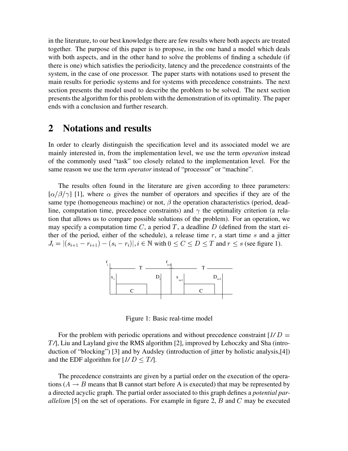in the literature, to our best knowledge there are few results where both aspects are treated together. The purpose of this paper is to propose, in the one hand a model which deals with both aspects, and in the other hand to solve the problems of finding a schedule (if there is one) which satisfies the periodicity, latency and the precedence constraints of the system, in the case of one processor. The paper starts with notations used to present the main results for periodic systems and for systems with precedence constraints. The next section presents the model used to describe the problem to be solved. The next section presents the algorithm for this problem with the demonstration of its optimality. The paper ends with a conclusion and further research.

# **2 Notations and results**

In order to clearly distinguish the specification level and its associated model we are mainly interested in, from the implementation level, we use the term *operation* instead of the commonly used "task" too closely related to the implementation level. For the same reason we use the term *operator* instead of "processor" or "machine".

The results often found in the literature are given according to three parameters:  $\left[\frac{\alpha}{\beta}\right]$  [1], where  $\alpha$  gives the number of operators and specifies if they are of the same type (homogeneous machine) or not,  $\beta$  the operation characteristics (period, deadline, computation time, precedence constraints) and  $\gamma$  the optimality criterion (a relation that allows us to compare possible solutions of the problem). For an operation, we may specify a computation time C, a period T, a deadline D (defined from the start either of the period, either of the schedule), a release time  $r$ , a start time  $s$  and a jitter - . . . . . . .  $|r_i|, i \in \mathbb{N}$  with  $0 \leq C \leq D \leq T$  and  $r \leq s$  (see figure 1).



Figure 1: Basic real-time model

For the problem with periodic operations and without precedence constraint [*1/ /*], Liu and Layland give the RMS algorithm [2], improved by Lehoczky and Sha (introduction of "blocking") [3] and by Audsley (introduction of jitter by holistic analysis,[4]) and the EDF algorithm for  $[I/D \leq T/$ .

The precedence constraints are given by a partial order on the execution of the operations ( $A \rightarrow B$  means that B cannot start before A is executed) that may be represented by a directed acyclic graph. The partial order associated to this graph defines a *potential parallelism* [5] on the set of operations. For example in figure 2,  $B$  and  $C$  may be executed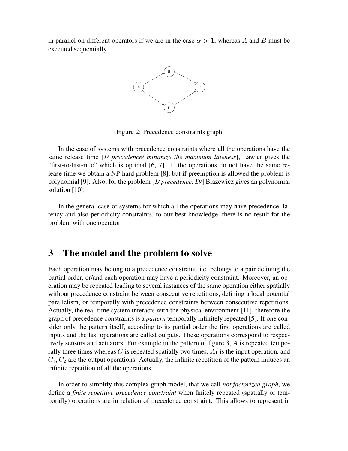in parallel on different operators if we are in the case  $\alpha > 1$ , whereas A and B must be executed sequentially.



Figure 2: Precedence constraints graph

In the case of systems with precedence constraints where all the operations have the same release time [*1/ precedence/ minimize the maximum lateness*], Lawler gives the "first-to-last-rule" which is optimal [6, 7]. If the operations do not have the same release time we obtain a NP-hard problem [8], but if preemption is allowed the problem is polynomial [9]. Also, for the problem [*1/ precedence, D/*] Blazewicz gives an polynomial solution [10].

In the general case of systems for which all the operations may have precedence, latency and also periodicity constraints, to our best knowledge, there is no result for the problem with one operator.

# **3 The model and the problem to solve**

Each operation may belong to a precedence constraint, i.e. belongs to a pair defining the partial order, or/and each operation may have a periodicity constraint. Moreover, an operation may be repeated leading to several instances of the same operation either spatially without precedence constraint between consecutive repetitions, defining a local potential parallelism, or temporally with precedence constraints between consecutive repetitions. Actually, the real-time system interacts with the physical environment [11], therefore the graph of precedence constraints is a *pattern* temporally infinitely repeated [5]. If one consider only the pattern itself, according to its partial order the first operations are called inputs and the last operations are called outputs. These operations correspond to respectively sensors and actuators. For example in the pattern of figure 3,  $\vec{A}$  is repeated temporally three times whereas C is repeated spatially two times,  $A_1$  is the input operation, and  $_1, C_2$  are the output operations. Actually, the infinite repetition of the pattern induces an infinite repetition of all the operations.

In order to simplify this complex graph model, that we call *not factorized graph*, we define a *finite repetitive precedence constraint* when finitely repeated (spatially or temporally) operations are in relation of precedence constraint. This allows to represent in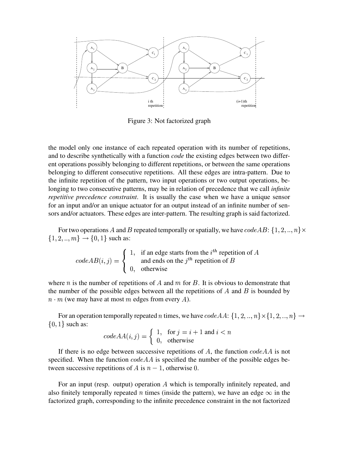

Figure 3: Not factorized graph

the model only one instance of each repeated operation with its number of repetitions, and to describe synthetically with a function *code* the existing edges between two different operations possibly belonging to different repetitions, or between the same operations belonging to different consecutive repetitions. All these edges are intra-pattern. Due to the infinite repetition of the pattern, two input operations or two output operations, belonging to two consecutive patterns, may be in relation of precedence that we call *infinite repetitive precedence constraint*. It is usually the case when we have a unique sensor for an input and/or an unique actuator for an output instead of an infinite number of sensors and/or actuators. These edges are inter-pattern. The resulting graph is said factorized.

For two operations A and B repeated temporally or spatially, we have  $codeAB$ :  $\{1, 2, ..., n\} \times$  $\{1, 2, ..., m\} \rightarrow \{0, 1\}$  such as:

$$
codeAB(i, j) = \begin{cases} 1, & \text{if an edge starts from the } i^{th} \text{ repetition of } A \\ & \text{and ends on the } j^{th} \text{ repetition of } B \\ 0, & \text{otherwise} \end{cases}
$$

where *n* is the number of repetitions of A and  $m$  for B. It is obvious to demonstrate that the number of the possible edges between all the repetitions of  $A$  and  $B$  is bounded by  $n \cdot m$  (we may have at most m edges from every A).

For an operation temporally repeated n times, we have  $codeAA: \{1, 2, ..., n\} \times \{1, 2, ..., n\} \rightarrow$  $\{0, 1\}$  such as:

$$
codeAA(i,j) = \begin{cases} 1, & \text{for } j = i+1 \text{ and } i < n \\ 0, & \text{otherwise} \end{cases}
$$

If there is no edge between successive repetitions of A, the function  $codeAA$  is not specified. When the function  $codeAA$  is specified the number of the possible edges between successive repetitions of A is  $n - 1$ , otherwise 0.

For an input (resp. output) operation  $A$  which is temporally infinitely repeated, and also finitely temporally repeated n times (inside the pattern), we have an edge  $\infty$  in the factorized graph, corresponding to the infinite precedence constraint in the not factorized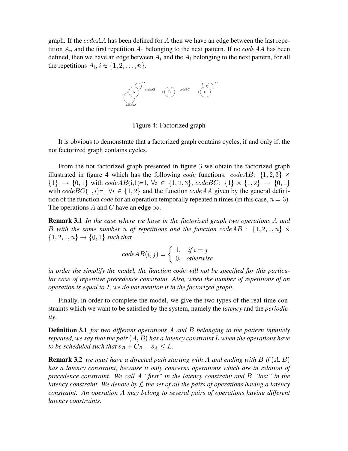graph. If the  $codeAA$  has been defined for A then we have an edge between the last repetition  $A_n$  and the first repetition  $A_1$  belonging to the next pattern. If no  $codeAA$  has been defined, then we have an edge between  $A_i$  and the  $A_i$  belonging to the next pattern, for all the repetitions  $A_i, i \in \{1, 2, \ldots, n\}.$ 



Figure 4: Factorized graph

It is obvious to demonstrate that a factorized graph contains cycles, if and only if, the not factorized graph contains cycles.

From the not factorized graph presented in figure 3 we obtain the factorized graph illustrated in figure 4 which has the following *code* functions: *codeAB*:  $\{1, 2, 3\} \times$  $\{1\} \rightarrow \{0,1\}$  with  $codeAB(i,1)=1$ ,  $\forall i \in \{1,2,3\}$ ,  $codeBC: \{1\} \times \{1,2\} \rightarrow \{0,1\}$ with  $codeBC(1, i)=1 \forall i \in \{1, 2\}$  and the function  $codeAA$  given by the general definition of the function *code* for an operation temporally repeated n times (in this case,  $n = 3$ ). The operations A and C have an edge  $\infty$ .

**Remark** 3.1 *In the case where we have in the factorized graph two operations* A and B with the same number n of repetitions and the function  $codeAB$  :  $\{1, 2, ..., n\}$   $\times$  $\{1, 2, ..., n\} \rightarrow \{0, 1\}$  such that

$$
codeAB(i, j) = \begin{cases} 1, & if i = j \\ 0, & otherwise \end{cases}
$$

*in* order the simplify the model, the function code will not be specified for this particu*lar case of repetitive precedence constraint. Also, when the number of repetitions of an operation is equal to 1, we do not mention it in the factorized graph.*

Finally, in order to complete the model, we give the two types of the real-time constraints which we want to be satisfied by the system, namely the *latency* and the *periodicity*.

**Definition 3.1** *for two different operations* A and B belonging to the pattern *infinitely repeated, we say that the pair*  $(A, B)$  *has a later.* <sup>4</sup> *has a latency constraint* <sup>z</sup> *when the operations have to* be scheduled such that  $s_B + C_B - s_A \leq L$ .

**Remark 3.2** *we must have a directed path starting with A and ending with B if*  $(A, B)$  $\overline{4}$  $\mathbf{v}$  and  $\mathbf{v}$  and  $\mathbf{v}$  and  $\mathbf{v}$ *has a latency constraint, because it only concerns operations which are in relation of precedence constraint. We call* <sup>1</sup> *"first" in the latency constraint and* <sup>4</sup> *"last" in the latency constraint.* We denote by  $\mathcal L$  the set of all the pairs of operations having a latency *constraint. An operation* <sup>1</sup> *may belong to several pairs of operations having different latency constraints.*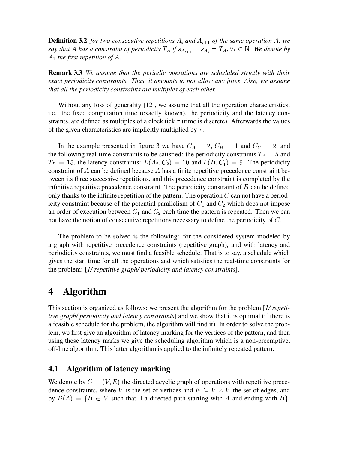**Definition 3.2** *for two consecutive repetitions*  $A_i$  *and*  $A_{i+1}$  *of the same operation*  $A$ *, we* say that A has a constraint of periodicity  $T_A$  if  $s_{A_{i+1}} - s_{A_i} = T_A$ ,  $\forall i \in \mathbb{N}$ . We denote by --, .... ,.... . . *.*..  $_1$  *the first repetition of A.* 

**Remark 3.3** *We assume that the periodic operations are scheduled strictly with their exact periodicity constraints. Thus, it amounts to not allow any jitter. Also, we assume that all the periodicity constraints are multiples of each other.*

Without any loss of generality [12], we assume that all the operation characteristics, i.e. the fixed computation time (exactly known), the periodicity and the latency constraints, are defined as multiples of a clock tick  $\tau$  (time is discrete). Afterwards the values of the given characteristics are implicitly multiplied by  $\tau$ .

In the example presented in figure 3 we have  $C_A = 2, C_B = 1$  and  $C_C = 2$ , and the following real-time constraints to be satisfied: the periodicity constraints  $T_A = 5$  and  $T_B = 15$ , the latency constraints:  $L(A_2, C_2) = 10$  and  $L(B, C_1) = 9$ . The  $C_1$ ) = 9. The periodicity constraint of  $A$  can be defined because  $A$  has a finite repetitive precedence constraint between its three successive repetitions, and this precedence constraint is completed by the infinitive repetitive precedence constraint. The periodicity constraint of  $\hat{B}$  can be defined only thanks to the infinite repetition of the pattern. The operation  $C$  can not have a periodicity constraint because of the potential parallelism of  $C_1$  and  $C_2$  which does not impose an order of execution between  $C_1$  and  $C_2$  each time the pattern is repeated. Then we can not have the notion of consecutive repetitions necessary to define the periodicity of  $C$ .

The problem to be solved is the following: for the considered system modeled by a graph with repetitive precedence constraints (repetitive graph), and with latency and periodicity constraints, we must find a feasible schedule. That is to say, a schedule which gives the start time for all the operations and which satisfies the real-time constraints for the problem: [*1/ repetitive graph/ periodicity and latency constraints*].

# **4 Algorithm**

This section is organized as follows: we present the algorithm for the problem [*1/ repetitive graph/ periodicity and latency constraints*] and we show that it is optimal (if there is a feasible schedule for the problem, the algorithm will find it). In order to solve the problem, we first give an algorithm of latency marking for the vertices of the pattern, and then using these latency marks we give the scheduling algorithm which is a non-preemptive, off-line algorithm. This latter algorithm is applied to the infinitely repeated pattern.

## **4.1 Algorithm of latency marking**

We denote by  $G = (V, E)$  the directed acyclic graph of operations with repetitive precedence constraints, where V is the set of vertices and  $E \subseteq V \times V$  the set of edges, and by  $\mathcal{D}(A) = \{B \in V \text{ such that } \exists \text{ a directed path starting with } A \text{ and ending with } B\}.$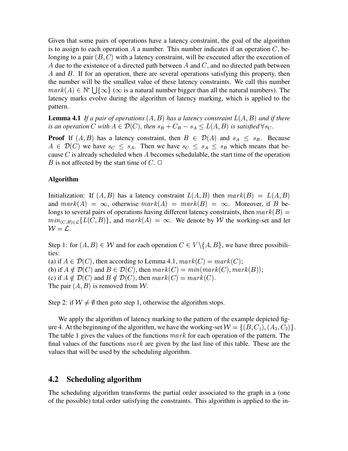Given that some pairs of operations have a latency constraint, the goal of the algorithm is to assign to each operation A a number. This number indicates if an operation  $C$ , belonging to a pair  $(B, C)$  with a later with a latency constraint, will be executed after the execution of A due to the existence of a directed path between  $\Lambda$  and  $\Lambda$ , and no directed path between  $\overline{A}$  and  $\overline{B}$ . If for an operation, there are several operations satisfying this property, then the number will be the smallest value of these latency constraints. We call this number  $mark(A) \in \mathbb{N}^* \bigcup {\{\infty\}}$  ( $\infty$  is a natural number bigger than all the natural numbers). The latency marks evolve during the algorithm of latency marking, which is applied to the pattern.

**Lemma 4.1** If a pair of operations  $(A, B)$  has a later <sup>4</sup> ) has a latency constraint  $L(A, B)$  and if ther <sup>4</sup> *and if there is an operation* C with  $A \in \mathcal{D}(C)$ , then  $\mathcal{D}(C)$ , then  $s_B + C_B - s_A \le L(A, B)$  is satisfied <sup>4</sup> *is satisfied*  $\forall s_C$ .

**Proof** If  $(A, B)$  has a late - , ----- -- ------- , ) has a latency constraint, then  $B \in \mathcal{D}(A)$  and  $\mathcal{D}(A)$  and  $s_A \leq s_B$ . Because <sup>1</sup>  $\sim$   $\sim$   $\sim$   $\sim$  $\mathcal{D}(C)$  we have  $s_C \leq s_A$ . Then we have  $s_C \leq s_A \leq s_B$  which means that because  $C$  is already scheduled when  $A$  becomes schedulable, the start time of the operation B is not affected by the start time of  $C$ .  $\Box$ 

### **Algorithm**

Initialization: If  $(A, B)$  has a late <sup>4</sup> ) has a latency constraint  $L(A, B)$  then  $mar$ <sup>4</sup> ) then  $mark(B) = L(A, B)$  $L(A, B)$  $\mathbf{4}$  $\sim$  . The set of the set of the set of the set of the set of the set of the set of the set of the set of the set of the set of the set of the set of the set of the set of the set of the set of the set of the set of the s and  $mark(A) = \infty$ , otherwise  $mark(A) = mark(B) = \infty$ . Moreover, if B belongs to several pairs of operations having different latency constraints, then  $mark(B)$  =  $min_{C \in B \subseteq C} \{L(C, B)\}\$ , and  $mar$ B), and  $mark(A) = \infty$ . We denote by W the working-set and let  $W = \mathcal{L}.$ 

Step 1: for  $(A, B) \in W$  and <sup>4</sup>  $\phi$   $\in$  *W* and for each operation  $C \in V \setminus \{A, B\}$ , we have three possibilities:

(a) if  $A \in \mathcal{D}(C)$ , then  $\mathcal{D}(C)$ , then according to Lemma 4.1,  $mark(C) = mark(C);$ (b) if  $A \notin \mathcal{D}(C)$  and E  $\mathcal{D}(C)$  and  $B \in \mathcal{D}(C)$ , then *i*  $\mathcal{D}(C)$ , then  $mark(C) = min(maxk(C), mark(B));$ (c) if  $A \notin \mathcal{D}(C)$  and E  $\mathcal{D}(C)$  and  $B \notin \mathcal{D}(C)$ , then *i*  $\mathcal{D}(C)$ , then  $mark(C) = mark(C)$ . The pair  $(A, B)$  is removed - , - - - - - - - - - - - -) is removed from  $W$ .

Step 2: if  $W \neq \emptyset$  then goto step 1, otherwise the algorithm stops.

We apply the algorithm of latency marking to the pattern of the example depicted figure 4. At the beginning of the algorithm, we have the working-set  $W = \{(B, C_1), (A_2, C_2)\}\$  $(C_1), (A_2, C_2)\}.$ The table 1 gives the values of the functions  $mark$  for each operation of the pattern. The final values of the functions  $mark$  are given by the last line of this table. These are the values that will be used by the scheduling algorithm.

## **4.2 Scheduling algorithm**

The scheduling algorithm transforms the partial order associated to the graph in a (one of the possible) total order satisfying the constraints. This algorithm is applied to the in-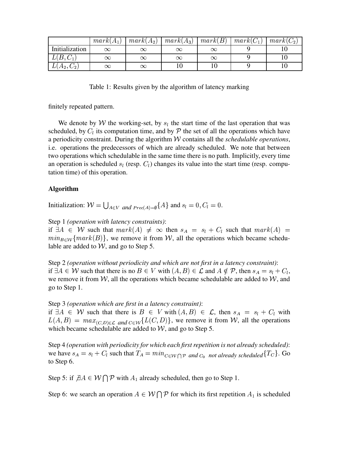|                | $mark(A_1)$ | $mark(A_2)$ | $mark(A_3)$ | mark(B)  | $mark(C_1)$ | $mark(C_2)$ |
|----------------|-------------|-------------|-------------|----------|-------------|-------------|
| Initialization |             | $\propto$   |             |          |             |             |
| $L(B, C_1)$    | $\infty$    | $\propto$   |             | $\infty$ |             |             |
| $L(A_2, C_2)$  | $\infty$    | $\propto$   |             |          |             |             |

Table 1: Results given by the algorithm of latency marking

finitely repeated pattern.

We denote by W the working-set, by  $s_i$  the start time of the last operation that was scheduled, by  $C_l$  its computation time, and by  $\mathcal P$  the set of all the operations which have a periodicity constraint. During the algorithm  $W$  contains all the *schedulable operations*, i.e. operations the predecessors of which are already scheduled. We note that between two operations which schedulable in the same time there is no path. Implicitly, every time an operation is scheduled  $s_l$  (resp.  $C_l$ ) changes its value into the start time (resp. computation time) of this operation.

### **Algorithm**

Initialization:  $W = \bigcup_{A \in V}$  and  $_{Prec(A) = \emptyset} \{A\}$  and  $s_l = 0, C_l = 0$ .

Step 1 (*operation with latency constraints*):

if  $\exists A \in W$  such that  $mark(A) \neq \infty$  then  $s_A = s_l + C_l$  such that  $mark(A) =$  $min_{B \in \mathcal{W}} \{mark(B)\}\$ , we remove it from W, all the operations which became schedulable are added to  $W$ , and go to Step 5.

Step 2 (operation without periodicity and which are not first in a latency constraint): if  $\exists A \in \mathcal{W}$  such that there is no  $B \in V$  with  $(A, B) \in \mathcal{L}$  and  $A \notin \mathcal{P}$ , then  $s_A = s_l + C_l$ , we remove it from  $W$ , all the operations which became schedulable are added to  $W$ , and go to Step 1.

Step 3 (operation which are first in a latency constraint):

if  $\exists A \in W$  such that there is  $B \in V$  with  $(A, B) \in \mathcal{L}$ , then  $s_A = s_l + C_l$  with  $L(A, B) = max_{(C, D) \in \mathcal{L}} and_{C \in \mathcal{W}} \{L(C, D)\}\text{, we remove it from } \mathcal{W}$ , all the operations which became schedulable are added to  $W$ , and go to Step 5.

Step 4 (operation with periodicity for which each first repetition is not already scheduled): we have  $s_A = s_l + C_l$  such that  $T_A = min_{C \in W \cap P}$  and  $C_0$  not already scheduled  $\{T_C\}$ . Go to Step 6.

Step 5: if  $AA \in W \cap P$  with  $A_1$  already scheduled, then go to Step 1.

Step 6: we search an operation  $A \in W \cap P$  for which its first repetition  $A_1$  is scheduled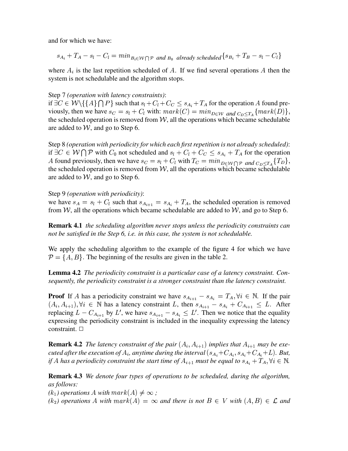and for which we have:

$$
s_{A_i} + T_A - s_l - C_l = \min_{B_i \in \mathcal{W} \cap \mathcal{P} \text{ and } B_0 \text{ already scheduled}} \{ s_{B_i} + T_B - s_l - C_l \}
$$

where  $A_i$  is the last repetition scheduled of A. If we find several operations A then the system is not schedulable and the algorithm stops.

### Step 7 (*operation with latency constraints*):

if  $\exists C \in W \setminus \{\{A\} \cap P\}$  such that  $s_l + C_l + C_c \leq s_{A_i} + T_A$  for the operation A found previously, then we have  $s_C = s_l + C_l$  with:  $mark(C) = min_{D \in W}$  and  $c_n < r_A$  { $mark(D)$ }, the scheduled operation is removed from  $W$ , all the operations which became schedulable are added to  $W$ , and go to Step 6.

Step 8 (operation with periodicity for which each first repetition is not already scheduled): if  $\exists C \in W \cap P$  with  $C_0$  not scheduled and  $s_l + C_l + C_c \leq s_{A_i} + T_A$  for the operation A found previously, then we have  $s_C = s_l + C_l$  with  $T_C = min_{D \in W \cap P}$  and  $C_D \leq T_A \{T_D\}$ , the scheduled operation is removed from  $W$ , all the operations which became schedulable are added to  $W$ , and go to Step 6.

Step 9 (*operation with periodicity*):

we have  $s_A = s_l + C_l$  such that  $s_{A_{i+1}} = s_{A_i} + T_A$ , the scheduled operation is removed from W, all the operations which became schedulable are added to  $W$ , and go to Step 6.

**Remark 4.1** the scheduling algorithm never stops unless the periodicity constraints can not be satisfied in the Step 6, i.e. in this case, the system is not schedulable.

We apply the scheduling algorithm to the example of the figure 4 for which we have  $\mathcal{P} = \{A, B\}$ . The beginning of the results are given in the table 2.

**Lemma 4.2** The periodicity constraint is a particular case of a latency constraint. Consequently, the periodicity constraint is a stronger constraint than the latency constraint.

**Proof** If A has a periodicity constraint we have  $s_{A_{i+1}} - s_{A_i} = T_A, \forall i \in \mathbb{N}$ . If the pair  $(A_i, A_{i+1}), \forall i \in \mathbb{N}$  has a latency constraint L, then  $s_{A_{i+1}} - s_{A_i} + C_{A_{i+1}} \leq L$ . After replacing  $L - C_{A_{i+1}}$  by  $L'$ , we have  $s_{A_{i+1}} - s_{A_i} \leq L'$ . Then we notice that the equality expressing the periodicity constraint is included in the inequality expressing the latency constraint.  $\square$ 

**Remark 4.2** The latency constraint of the pair  $(A_i, A_{i+1})$  implies that  $A_{i+1}$  may be executed after the execution of  $A_i$ , anytime during the interval  $(s_{A_i}+C_{A_i}, s_{A_i}+C_{A_i}+L)$ . But, if A has a periodicity constraint the start time of  $A_{i+1}$  must be equal to  $s_{A_i} + T_A$ ,  $\forall i \in \mathbb{N}$ .

**Remark 4.3** We denote four types of operations to be scheduled, during the algorithm, as follows:

 $(k_1)$  operations A with  $mark(A) \neq \infty$ ;

 $(k_2)$  operations A with  $mark(A) = \infty$  and there is not  $B \in V$  with  $(A, B) \in \mathcal{L}$  and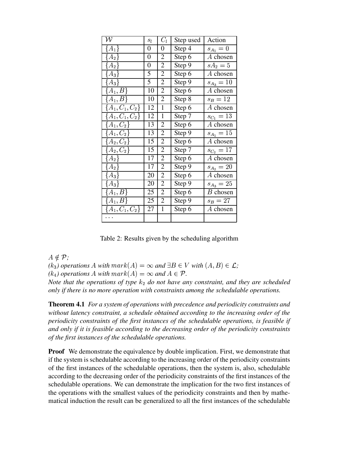| ${\cal W}$          | $S_l$            | $C_l$          | Step used            | Action         |
|---------------------|------------------|----------------|----------------------|----------------|
| $A_1$               | 0                | 0              | Step 4               | $s_{A_1} = 0$  |
| $A_2$               | $\boldsymbol{0}$ | $\overline{2}$ | Step 6               | A chosen       |
| $A_2$               | $\overline{0}$   | $\overline{2}$ | Step 9               | $sA_2=5$       |
| $A_3\}$             | 5                | $\overline{2}$ | Step 6               | A chosen       |
| $A_3\}$             | 5                | $\overline{2}$ | Step 9               | $s_{A_3} = 10$ |
| $\{A_1,B\}$         | 10               | $\overline{2}$ | Step 6               | A chosen       |
| $\{A_1,B\}$         | 10               | $\overline{2}$ | Step 8               | $s_B = 12$     |
| $A_1, C_1, C_2\}$   | 12               | $\mathbf{1}$   | Step 6               | A chosen       |
| $\{A_1, C_1, C_2\}$ | 12               | $\mathbf{1}$   | Step 7               | $s_{C_1}=13$   |
| $A_{1},C_{2}\}$     | 13               | $\overline{2}$ | Step 6               | A chosen       |
| $A_{1},C_{2}\}$     | 13               | $\overline{2}$ | Step 9               | $s_{A_1} = 15$ |
| $A_2, C_2\}$        | 15               | $\overline{2}$ | Step 6               | A chosen       |
| $A_2, C_2\}$        | 15               | $\overline{2}$ | Step 7               | $s_{C_2}=17$   |
| $A_2$               | 17               | $\overline{2}$ | Step 6               | A chosen       |
| $A_2$               | 17               | $\overline{2}$ | Step 9               | $s_{A_2} = 20$ |
| $A_3$               | 20               | $\overline{2}$ | Step 6               | A chosen       |
| $A_3\}$             | 20               | $\overline{2}$ | Step 9               | $s_{A_3} = 25$ |
| $A_1, B$            | 25               | $\overline{2}$ | Step 6               | $B$ chosen     |
| $A_1, B$            | 25               | $\overline{2}$ | Step 9               | $s_B = 27$     |
| $\{A_1,C_1,C_2\}$   | 27               | $\mathbf{1}$   | $\overline{S}$ tep 6 | A chosen       |
|                     |                  |                |                      |                |

Table 2: Results given by the scheduling algorithm

<sup>1</sup>  $\notin$   ${\mathcal P}$ *;* 

 $(k_3)$  *operations* A with  $mark(A) = \infty$  and  $\exists B \in V$  with  $(A, B) \in \mathcal{L}$ ; <sup>4</sup>  $) \in \mathcal{L}$ ;

 $(k_4)$  operations A with  $mark(A) = \infty$  and  $A \in \mathcal{P}$ .

*Note that the operations of type*  $k_2$  *do not have any constraint, and they are scheduled only if there is no more operation with constraints among the schedulable operations.*

**Theorem 4.1** *For a system of operations with precedence and periodicity constraints and without latency constraint, a schedule obtained according to the increasing order of the periodicity constraints of the first instances of the schedulable operations, is feasible if and only if it is feasible according to the decreasing order of the periodicity constraints of the first instances of the schedulable operations.*

**Proof** We demonstrate the equivalence by double implication. First, we demonstrate that if the system is schedulable according to the increasing order of the periodicity constraints of the first instances of the schedulable operations, then the system is, also, schedulable according to the decreasing order of the periodicity constraints of the first instances of the schedulable operations. We can demonstrate the implication for the two first instances of the operations with the smallest values of the periodicity constraints and then by mathematical induction the result can be generalized to all the first instances of the schedulable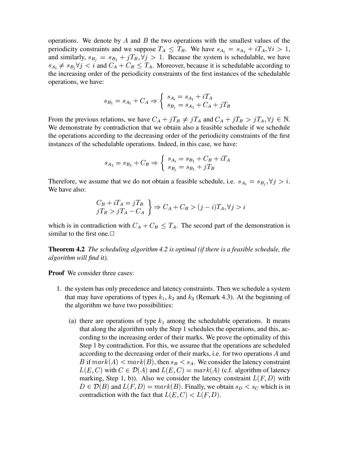operations. We denote by  $A$  and  $B$  the two operations with the smallest values of the periodicity constraints and we suppose  $T_A \leq T_B$ . We have  $s_{A_i} = s_{A_1} + iT_A$ ,  $\forall i > 1$ , and similarly,  $s_{B_i} = s_{B_1} + jT_B, \forall j > 1$ . Because the system is schedulable, we have  $s_{A_i} \neq s_{B_i} \forall j \leq i$  and  $C_A + C_B \leq T_A$ . Moreover, because it is schedulable according to the increasing order of the periodicity constraints of the first instances of the schedulable operations, we have:

$$
s_{B_1} = s_{A_1} + C_A \Rightarrow \begin{cases} s_{A_i} = s_{A_1} + iT_A \\ s_{B_j} = s_{A_1} + C_A + jT_B \end{cases}
$$

From the previous relations, we have  $C_A + jT_B \neq jT_A$  and  $C_A + jT_B > jT_A, \forall j \in \mathbb{N}$ . We demonstrate by contradiction that we obtain also a feasible schedule if we schedule the operations according to the decreasing order of the periodicity constraints of the first instances of the schedulable operations. Indeed, in this case, we have:

$$
s_{A_1} = s_{B_1} + C_B \Rightarrow \left\{ \begin{array}{l} s_{A_i} = s_{B_1} + C_B + iT_A \\ s_{B_j} = s_{B_1} + jT_B \end{array} \right.
$$

Therefore, we assume that we do not obtain a feasible schedule, i.e.  $s_{A_i} = s_{B_i}, \forall j > i$ . <sup>6</sup> *i*. We have also:

$$
\begin{aligned}\nC_B + iT_A &= jT_B \\
jT_B &> jT_A - C_A\n\end{aligned}\n\Rightarrow C_A + C_B > (j - i)T_A, \forall j > i
$$

which is in contradiction with  $C_A + C_B \leq T_A$ . The second part of the demonstration is similar to the first one. $\Box$ 

**Theorem 4.2** *The scheduling algorithm 4.2 is optimal (if there is a feasible schedule, the algorithm will find it).*

**Proof** We consider three cases:

- 1. the system has only precedence and latency constraints. Then we schedule a system that may have operations of types  $k_1$ ,  $k_2$  and  $k_3$  (Remark 4.3). At the beginning of the algorithm we have two possibilities:
	- (a) there are operations of type  $k_1$  among the schedulable operations. It means that along the algorithm only the Step 1 schedules the operations, and this, according to the increasing order of their marks. We prove the optimality of this Step 1 by contradiction. For this, we assume that the operations are scheduled according to the decreasing order of their marks, i.e. for two operations  $A$  and B if  $mark(A) < mark(B)$ , then  $s_B < s_A$ . We consider the latency constraint <sup>z</sup>  $\overline{\phantom{a}}$  $\sim$  , ......  $\sim$   $\sim$   $\sim$   $\sim$ ) with  $C \in \mathcal{D}(A)$  and L  $\mathcal{D}(A)$  and  $L(E,C) = ma$  $\hat{C}$  =  $mark(A)$  (c.f. algorithm of latency marking, Step 1, b)). Also we consider the latency constraint  $L(F, D)$  with the contract of the contract of the contract of the contract of the contract of the contract of the contract of with \_ \_ \_ \_ \_ \_ \_ \_ \_ \_ \_ &  $\mathcal{D}(B)$  and  $L(F, D) = ma$  $D) = mark(B)$ . Finally, we obtain  $s_D < s_C$  which is in contradiction with the fact that  $L(E, C) < L(A)$   $\blacksquare$  is the set of  $\blacksquare$ <sup>z</sup>  $\sim$   $\sim$  .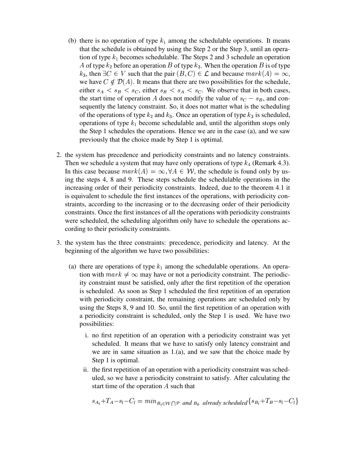- (b) there is no operation of type  $k_1$  among the schedulable operations. It means that the schedule is obtained by using the Step 2 or the Step 3, until an operation of type  $k_1$  becomes schedulable. The Steps 2 and 3 schedule an operation A of type  $k_2$  before an operation B of type  $k_3$ . When the operation B is of type  $k_3$ , then  $\exists C \in V$  such that the pair  $(B, C) \in \mathcal{L}$  and be  $b \in \mathcal{L}$  and because  $mark(A) = \infty$ , we have  $C \notin \mathcal{D}(A)$ . It me  $\mathcal{D}(A)$ . It means that there are two possibilities for the schedule, either  $s_A < s_B < s_C$ , either  $s_B < s_A < s_C$ . We observe that in both cases, the start time of operation A does not modify the value of  $s_C - s_B$ , and consequently the latency constraint. So, it does not matter what is the scheduling of the operations of type  $k_2$  and  $k_3$ . Once an operation of type  $k_3$  is scheduled, operations of type  $k_1$  become schedulable and, until the algorithm stops only the Step 1 schedules the operations. Hence we are in the case (a), and we saw previously that the choice made by Step 1 is optimal.
- 2. the system has precedence and periodicity constraints and no latency constraints. Then we schedule a system that may have only operations of type  $k_4$  (Remark 4.3). In this case because  $mark(A) = \infty, \forall A \in \mathcal{W}$ , <sup>l</sup>  $, \forall A \in \mathcal{W}$ , the schedule is found only by using the steps 4, 8 and 9. These steps schedule the schedulable operations in the increasing order of their periodicity constraints. Indeed, due to the theorem 4.1 it is equivalent to schedule the first instances of the operations, with periodicity constraints, according to the increasing or to the decreasing order of their periodicity constraints. Once the first instances of all the operations with periodicity constraints were scheduled, the scheduling algorithm only have to schedule the operations according to their periodicity constraints.
- 3. the system has the three constraints: precedence, periodicity and latency. At the beginning of the algorithm we have two possibilities:
	- (a) there are operations of type  $k_1$  among the schedulable operations. An operation with  $mark \neq \infty$  may have or not a periodicity constraint. The periodicity constraint must be satisfied, only after the first repetition of the operation is scheduled. As soon as Step 1 scheduled the first repetition of an operation with periodicity constraint, the remaining operations are scheduled only by using the Steps 8, 9 and 10. So, until the first repetition of an operation with a periodicity constraint is scheduled, only the Step 1 is used. We have two possibilities:
		- i. no first repetition of an operation with a periodicity constraint was yet scheduled. It means that we have to satisfy only latency constraint and we are in same situation as 1.(a), and we saw that the choice made by Step 1 is optimal.
		- ii. the first repetition of an operation with a periodicity constraint was scheduled, so we have a periodicity constraint to satisfy. After calculating the start time of the operation  $\ddot{A}$  such that

$$
s_{A_i} + T_A - s_l - C_l = \min_{B_i \in \mathcal{W} \cap \mathcal{P}} \text{ and } B_0 \text{ already scheduled } \{s_{B_i} + T_B - s_l - C_l\}
$$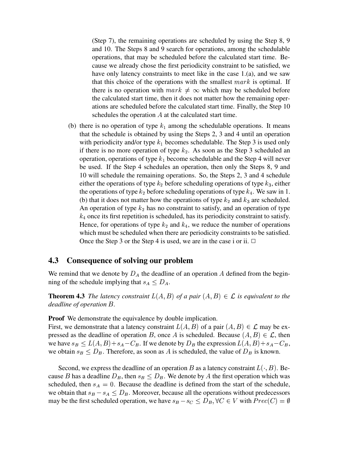(Step 7), the remaining operations are scheduled by using the Step 8, 9 and 10. The Steps 8 and 9 search for operations, among the schedulable operations, that may be scheduled before the calculated start time. Because we already chose the first periodicity constraint to be satisfied, we have only latency constraints to meet like in the case 1.(a), and we saw that this choice of the operations with the smallest  $mark$  is optimal. If there is no operation with  $mark \neq \infty$  which may be scheduled before the calculated start time, then it does not matter how the remaining operations are scheduled before the calculated start time. Finally, the Step 10 schedules the operation  $A$  at the calculated start time.

(b) there is no operation of type  $k_1$  among the schedulable operations. It means that the schedule is obtained by using the Steps 2, 3 and 4 until an operation with periodicity and/or type  $k_1$  becomes schedulable. The Step 3 is used only if there is no more operation of type  $k_2$ . As soon as the Step 3 scheduled an operation, operations of type  $k_1$  become schedulable and the Step 4 will never be used. If the Step 4 schedules an operation, then only the Steps 8, 9 and 10 will schedule the remaining operations. So, the Steps 2, 3 and 4 schedule either the operations of type  $k_2$  before scheduling operations of type  $k_3$ , either the operations of type  $k_2$  before scheduling operations of type  $k_4$ . We saw in 1. (b) that it does not matter how the operations of type  $k_2$  and  $k_3$  are scheduled. An operation of type  $k_2$  has no constraint to satisfy, and an operation of type  $k_4$  once its first repetition is scheduled, has its periodicity constraint to satisfy. Hence, for operations of type  $k_2$  and  $k_4$ , we reduce the number of operations which must be scheduled when there are periodicity constraints to be satisfied. Once the Step 3 or the Step 4 is used, we are in the case i or ii.  $\Box$ 

### **4.3 Consequence of solving our problem**

We remind that we denote by  $D_A$  the deadline of an operation A defined from the beginning of the schedule implying that  $s_A \leq D_A$ .

**Theorem 4.3** *The latency constraint*  $L(A, B)$  *of a pair* ( <sup>4</sup> *of a pair*  $(A, B) \in \mathcal{L}$  *is eq* — , <del>— , . . . .</del>  $) \in \mathcal{L}$  *is equivalent to the deadline of operation B*.

**Proof** We demonstrate the equivalence by double implication.

First, we demonstrate that a latency constraint  $L(A, B)$  of a pair ( <sup>4</sup> ) of a pair  $(A, B) \in \mathcal{L}$  may l <sup>4</sup>  $) \in \mathcal{L}$  may be expressed as the deadline of operation B, once A is scheduled. Because  $(A, B) \in \mathcal{L}$ , then <sup>4</sup> & pressed as the deadline of operation B, once A is scheduled. Because  $(A, B) \in \mathcal{L}$ , then<br>we have  $s_B \le L(A, B) + s_A - C_B$ . If we denote by  $D_B$  the expression  $L(A, B) + s_A - C_B$ , " <sup>4</sup>  $)+s_A-C_B$ . If we denote by  $D_B$  the expression  $L(A, B)+s_A-C_B$ , <sup>4</sup>  $)+s_A-C_B,$ we obtain  $s_B \leq D_B$ . Therefore, as soon as A is scheduled, the value of  $D_B$  is known.

Second, we express the deadline of an operation B as a latency constraint  $L(\cdot, B)$ . Be- $\overline{\phantom{a}}$  . Because B has a deadline  $D_B$ , then  $s_B \leq D_B$ . We denote by A the first operation which was scheduled, then  $s_A = 0$ . Because the deadline is defined from the start of the schedule, we obtain that  $s_B - s_A \leq D_B$ . Moreover, because all the operations without predecessors may be the first scheduled operation, we have  $s_B - s_C \le D_B$ ,  $\forall C \in V$  with  $Prec(C) = \emptyset$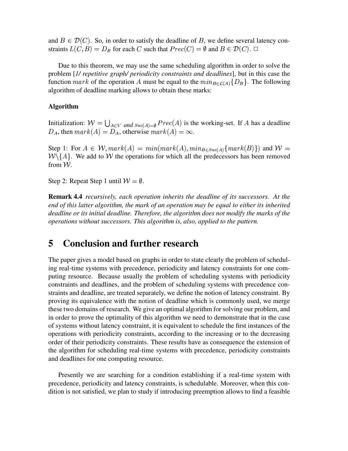and  $B \in \mathcal{D}(C)$ . So, in order to satisfy the deadline of B, we define several latency constraints  $L(C, B) = D_B$  for each C such that  $Prec(C) = \emptyset$  and  $B \in \mathcal{D}(C)$ .  $\Box$ 

Due to this theorem, we may use the same scheduling algorithm in order to solve the problem [1/ repetitive graph/ periodicity constraints and deadlines], but in this case the function mark of the operation A must be equal to the  $min_{B \in \mathcal{L}(A)} \{D_B\}$ . The following algorithm of deadline marking allows to obtain these marks:

### **Algorithm**

Initialization:  $W = \bigcup_{A \in V}$  and  $Suc(A) = \emptyset$   $Prec(A)$  is the working-set. If A has a deadline  $D_A$ , then  $mark(A) = D_A$ , otherwise  $mark(A) = \infty$ .

Step 1: For  $A \in \mathcal{W}$ ,  $mark(A) = min(maxk(A), min_{B \in Suc(A)}\{mark(B)\})$  and  $\mathcal{W} =$  $W \setminus \{A\}$ . We add to W the operations for which all the predecessors has been removed from  $W$ .

Step 2: Repeat Step 1 until  $W = \emptyset$ .

**Remark 4.4** recursively, each operation inherits the deadline of its successors. At the end of this latter algorithm, the mark of an operation may be equal to either its inherited deadline or its initial deadline. Therefore, the algorithm does not modify the marks of the operations without successors. This algorithm is, also, applied to the pattern.

#### 5 **Conclusion and further research**

The paper gives a model based on graphs in order to state clearly the problem of scheduling real-time systems with precedence, periodicity and latency constraints for one computing resource. Because usually the problem of scheduling systems with periodicity constraints and deadlines, and the problem of scheduling systems with precedence constraints and deadline, are treated separately, we define the notion of latency constraint. By proving its equivalence with the notion of deadline which is commonly used, we merge these two domains of research. We give an optimal algorithm for solving our problem, and in order to prove the optimality of this algorithm we need to demonstrate that in the case of systems without latency constraint, it is equivalent to schedule the first instances of the operations with periodicity constraints, according to the increasing or to the decreasing order of their periodicity constraints. These results have as consequence the extension of the algorithm for scheduling real-time systems with precedence, periodicity constraints and deadlines for one computing resource.

Presently we are searching for a condition establishing if a real-time system with precedence, periodicity and latency constraints, is schedulable. Moreover, when this condition is not satisfied, we plan to study if introducing preemption allows to find a feasible